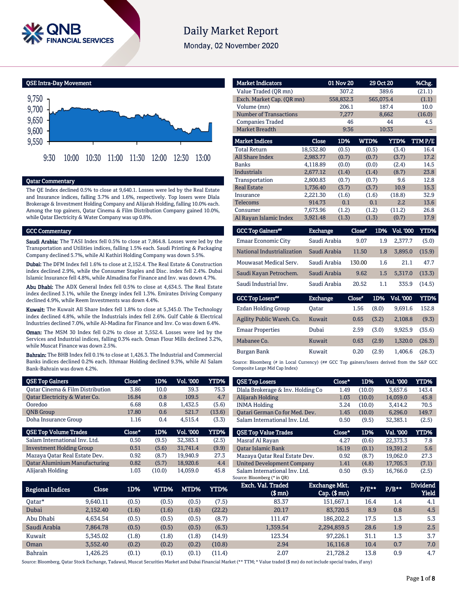

# **Daily Market Report**

Monday, 02 November 2020

QSE Intra-Day Movement



### Qatar Commentary

The QE Index declined 0.5% to close at 9,640.1. Losses were led by the Real Estate and Insurance indices, falling 3.7% and 1.6%, respectively. Top losers were Dlala Brokerage & Investment Holding Company and Alijarah Holding, falling 10.0% each. Among the top gainers, Qatar Cinema & Film Distribution Company gained 10.0%, while Qatar Electricity & Water Company was up 0.8%.

### GCC Commentary

Saudi Arabia: The TASI Index fell 0.5% to close at 7,864.8. Losses were led by the Transportation and Utilities indices, falling 1.5% each. Saudi Printing & Packaging Company declined 5.7%, while Al Kathiri Holding Company was down 5.5%.

Dubai: The DFM Index fell 1.6% to close at 2,152.4. The Real Estate & Construction index declined 2.9%, while the Consumer Staples and Disc. index fell 2.4%. Dubai Islamic Insurance fell 4.8%, while Almadina for Finance and Inv. was down 4.7%.

Abu Dhabi: The ADX General Index fell 0.5% to close at 4,634.5. The Real Estate index declined 3.1%, while the Energy index fell 1.3%. Emirates Driving Company declined 4.9%, while Reem Investments was down 4.4%.

Kuwait: The Kuwait All Share Index fell 1.8% to close at 5,345.0. The Technology index declined 4.8%, while the Industrials index fell 2.6%. Gulf Cable & Electrical Industries declined 7.0%, while Al-Madina for Finance and Inv. Co was down 6.4%.

Oman: The MSM 30 Index fell 0.2% to close at 3,552.4. Losses were led by the Services and Industrial indices, falling 0.3% each. Oman Flour Mills declined 3.2%, while Muscat Finance was down 2.5%.

Bahrain: The BHB Index fell 0.1% to close at 1,426.3. The Industrial and Commercial Banks indices declined 0.2% each. Ithmaar Holding declined 9.3%, while Al Salam Bank-Bahrain was down 4.2%.

| <b>QSE Top Gainers</b>               | Close*   | 1D%   | <b>Vol. '000</b> | YTD%        |
|--------------------------------------|----------|-------|------------------|-------------|
| Oatar Cinema & Film Distribution     | 3.86     | 10.0  | 39.3             | 75.3        |
| Qatar Electricity & Water Co.        | 16.84    | 0.8   | 109.5            | 4.7         |
| Ooredoo                              | 6.68     | 0.8   | 1,432.5          | (5.6)       |
| <b>ONB</b> Group                     | 17.80    | 0.6   | 521.7            | (13.6)      |
| Doha Insurance Group                 | 1.16     | 0.4   | 4.515.4          | (3.3)       |
|                                      |          |       |                  |             |
| <b>QSE Top Volume Trades</b>         | $Close*$ | 1D%   | Vol. '000        | <b>YTD%</b> |
| Salam International Inv. Ltd.        | 0.50     | (9.5) | 32.383.1         | (2.5)       |
| <b>Investment Holding Group</b>      | 0.51     | (5.6) | 31.741.4         | (9.9)       |
| Mazaya Qatar Real Estate Dev.        | 0.92     | (8.7) | 19.940.9         | 27.3        |
| <b>Qatar Aluminium Manufacturing</b> | 0.82     | (5.7) | 18.920.6         | 4.4         |

| <b>Market Indicators</b>      |                 | 01 Nov 20 |        | 29 Oct 20 |                  | %Chg.  |
|-------------------------------|-----------------|-----------|--------|-----------|------------------|--------|
| Value Traded (OR mn)          |                 | 307.2     |        | 389.6     |                  | (21.1) |
| Exch. Market Cap. (QR mn)     |                 | 558,832.3 |        | 565,075.4 |                  | (1.1)  |
| Volume (mn)                   |                 | 206.1     |        | 187.4     |                  | 10.0   |
| <b>Number of Transactions</b> |                 | 7,277     |        | 8,662     |                  | (16.0) |
| <b>Companies Traded</b>       |                 | 46        |        |           | 44               | 4.5    |
| Market Breadth                |                 | 9:36      |        | 10:33     |                  |        |
| <b>Market Indices</b>         | Close           | 1D%       | WTD%   |           | <b>YTD%</b>      | TTMP/E |
| <b>Total Return</b>           | 18,532.80       | (0.5)     | (0.5)  |           | (3.4)            | 16.4   |
| <b>All Share Index</b>        | 2,983.77        | (0.7)     | (0.7)  |           | (3.7)            | 17.2   |
| <b>Banks</b>                  | 4.118.89        | (0.0)     | (0.0)  |           | (2.4)            | 14.5   |
| <b>Industrials</b>            | 2,677.12        | (1.4)     | (1.4)  |           | (8.7)            | 23.8   |
| Transportation                | 2,800.83        | (0.7)     | (0.7)  |           | 9.6              | 12.8   |
| <b>Real Estate</b>            | 1,736.40        | (3.7)     | (3.7)  |           | 10.9             | 15.3   |
| Insurance                     | 2,221.30        | (1.6)     | (1.6)  |           | (18.8)           | 32.9   |
| <b>Telecoms</b>               | 914.73          | 0.1       | 0.1    |           | 2.2              | 13.6   |
| Consumer                      | 7,673.96        | (1.2)     | (1.2)  |           | (11.2)           | 26.8   |
| Al Rayan Islamic Index        | 3,921.48        | (1.3)     | (1.3)  |           | (0.7)            | 17.9   |
| <b>GCC Top Gainers**</b>      | <b>Exchange</b> |           | Close* | 1D%       | <b>Vol. '000</b> | YTD%   |
| Emaar Economic City           | Saudi Arabia    |           | 9.07   | 1.9       | 2,377.7          | (5.0)  |
| National Industrialization    | Saudi Arabia    |           | 11.50  | 1.8       | 3,895.0          | (15.9) |
| Mouwasat Medical Serv.        | Saudi Arabia    |           | 130.00 | 1.6       | 21.1             | 47.7   |
| Saudi Kayan Petrochem.        | Saudi Arabia    |           | 9.62   | 1.5       | 5,317.0          | (13.3) |
| Saudi Industrial Inv.         | Saudi Arabia    |           | 20.52  | 1.1       | 335.9            | (14.5) |

| <b>GCC Top Losers</b> "    | <b>Exchange</b> | Close* | 1D%   | <b>Vol. '000</b> | YTD%   |
|----------------------------|-----------------|--------|-------|------------------|--------|
| <b>Ezdan Holding Group</b> | Oatar           | 1.56   | (8.0) | 9.691.6          | 152.8  |
| Agility Public Wareh. Co.  | Kuwait          | 0.65   | (3.2) | 2.108.8          | (9.3)  |
| <b>Emaar Properties</b>    | Dubai           | 2.59   | (3.0) | 9.925.9          | (35.6) |
| Mabanee Co.                | Kuwait          | 0.63   | (2.9) | 1.320.0          | (26.3) |
| Burgan Bank                | Kuwait          | 0.20   | (2.9) | 1.406.6          | (26.3) |

Source: Bloomberg (# in Local Currency) (## GCC Top gainers/losers derived from the S&P GCC Composite Large Mid Cap Index)

| <b>QSE Top Losers</b>             | Close* | 1D%    | <b>Vol. '000</b> | YTD%        |
|-----------------------------------|--------|--------|------------------|-------------|
| Dlala Brokerage & Inv. Holding Co | 1.49   | (10.0) | 3.657.6          | 143.4       |
| Alijarah Holding                  | 1.03   | (10.0) | 14.059.0         | 45.8        |
| <b>INMA Holding</b>               | 3.24   | (10.0) | 3,414.2          | 70.5        |
| Oatari German Co for Med. Dev.    | 1.45   | (10.0) | 6.296.0          | 149.7       |
| Salam International Inv. Ltd.     | 0.50   | (9.5)  | 32,383.1         | (2.5)       |
|                                   |        |        |                  |             |
|                                   |        |        |                  |             |
| <b>QSE Top Value Trades</b>       | Close* | 1D%    | Val. '000        | <b>YTD%</b> |
| Masraf Al Rayan                   | 4.27   | (0.6)  | 22.373.3         | 7.8         |
| <b>Oatar Islamic Bank</b>         | 16.19  | (0.1)  | 19,391.2         | 5.6         |
| Mazaya Qatar Real Estate Dev.     | 0.92   | (8.7)  | 19.062.0         | 27.3        |
| <b>United Development Company</b> | 1.41   | (4.8)  | 17,705.3         | (7.1)       |

| <b>Regional Indices</b> | Close    | 1D%   | WTD%  | MTD%  | YTD%   | Exch. Val. Traded<br>$$$ mn $)$ | Exchange Mkt.<br>$Cap.$ ( $$mn)$ | $P/E***$ | $P/B**$ | <b>Dividend</b><br>Yield |
|-------------------------|----------|-------|-------|-------|--------|---------------------------------|----------------------------------|----------|---------|--------------------------|
| Oatar*                  | 9.640.11 | (0.5) | (0.5) | (0.5) | (7.5)  | 83.37                           | 151,667.1                        | 16.4     | 1.4     | 4.1                      |
| Dubai                   | 2.152.40 | (1.6) | (1.6) | (1.6) | (22.2) | 20.17                           | 83,720.5                         | 8.9      | 0.8     | 4.5                      |
| Abu Dhabi               | 4.634.54 | (0.5) | (0.5) | (0.5) | (8.7)  | 111.47                          | 186.202.2                        | 17.5     | 1.3     | 5.3                      |
| Saudi Arabia            | 7.864.78 | (0.5) | (0.5) | (0.5) | (6.3)  | 1,359.54                        | 2,294,859.5                      | 28.6     | 1.9     | 2.5                      |
| Kuwait                  | 5.345.02 | (1.8) | (1.8) | (1.8) | (14.9) | 123.34                          | 97.226.1                         | 31.1     | 1.3     | 3.7                      |
| Oman                    | 3.552.40 | (0.2) | (0.2) | (0.2) | (10.8) | 2.94                            | 16,116.8                         | 10.4     | 0.7     | 7.0                      |
| <b>Bahrain</b>          | .426.25  | (0.1) | (0.1) | (0.1) | (11.4) | 2.07                            | 21.728.2                         | 13.8     | 0.9     | 4.7                      |

Source: Bloomberg, Qatar Stock Exchange, Tadawul, Muscat Securities Market and Dubai Financial Market (\*\* TTM; \* Value traded (\$ mn) do not include special trades, if any)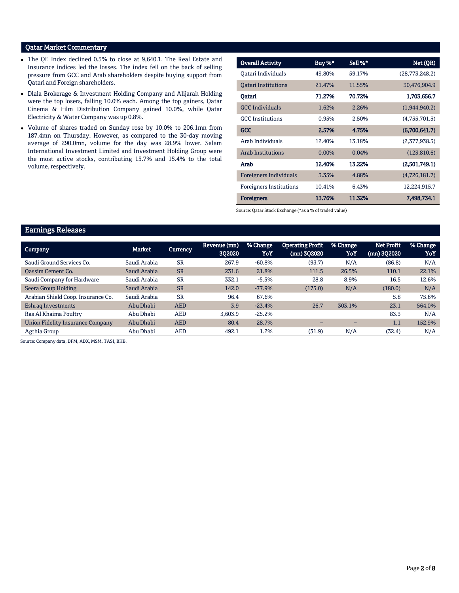# Qatar Market Commentary

- The QE Index declined 0.5% to close at 9,640.1. The Real Estate and Insurance indices led the losses. The index fell on the back of selling pressure from GCC and Arab shareholders despite buying support from Qatari and Foreign shareholders.
- Dlala Brokerage & Investment Holding Company and Alijarah Holding were the top losers, falling 10.0% each. Among the top gainers, Qatar Cinema & Film Distribution Company gained 10.0%, while Qatar Electricity & Water Company was up 0.8%.
- Volume of shares traded on Sunday rose by 10.0% to 206.1mn from 187.4mn on Thursday. However, as compared to the 30-day moving average of 290.0mn, volume for the day was 28.9% lower. Salam International Investment Limited and Investment Holding Group were the most active stocks, contributing 15.7% and 15.4% to the total volume, respectively.

| <b>Overall Activity</b>        | Buy %*   | Sell %* | Net (QR)       |
|--------------------------------|----------|---------|----------------|
| Qatari Individuals             | 49.80%   | 59.17%  | (28,773,248.2) |
| <b>Oatari Institutions</b>     | 21.47%   | 11.55%  | 30,476,904.9   |
| Oatari                         | 71.27%   | 70.72%  | 1,703,656.7    |
| <b>GCC</b> Individuals         | 1.62%    | 2.26%   | (1,944,940.2)  |
| <b>GCC</b> Institutions        | 0.95%    | 2.50%   | (4,755,701.5)  |
| <b>GCC</b>                     | 2.57%    | 4.75%   | (6,700,641.7)  |
| Arab Individuals               | 12.40%   | 13.18%  | (2,377,938.5)  |
| <b>Arab Institutions</b>       | $0.00\%$ | 0.04%   | (123, 810.6)   |
| Arab                           | 12.40%   | 13.22%  | (2,501,749.1)  |
| <b>Foreigners Individuals</b>  | 3.35%    | 4.88%   | (4,726,181.7)  |
| <b>Foreigners Institutions</b> | 10.41%   | 6.43%   | 12,224,915.7   |
| <b>Foreigners</b>              | 13.76%   | 11.32%  | 7,498,734.1    |

Source: Qatar Stock Exchange (\*as a % of traded value)

# Earnings Releases

| <b>Company</b>                     | Market       | <b>Currency</b> | Revenue (mn)<br>302020 | % Change<br>YoY | <b>Operating Profit</b><br>(mn) 3Q2020 | % Change<br>YoY | <b>Net Profit</b><br>(mn) 3Q2020 | % Change<br>YoY |
|------------------------------------|--------------|-----------------|------------------------|-----------------|----------------------------------------|-----------------|----------------------------------|-----------------|
| Saudi Ground Services Co.          | Saudi Arabia | <b>SR</b>       | 267.9                  | $-60.8%$        | (93.7)                                 | N/A             | (86.8)                           | N/A             |
| <b>Oassim Cement Co.</b>           | Saudi Arabia | <b>SR</b>       | 231.6                  | 21.8%           | 111.5                                  | 26.5%           | 110.1                            | 22.1%           |
| Saudi Company for Hardware         | Saudi Arabia | <b>SR</b>       | 332.1                  | $-5.5%$         | 28.8                                   | 8.9%            | 16.5                             | 12.6%           |
| Seera Group Holding                | Saudi Arabia | <b>SR</b>       | 142.0                  | $-77.9%$        | (175.0)                                | N/A             | (180.0)                          | N/A             |
| Arabian Shield Coop. Insurance Co. | Saudi Arabia | <b>SR</b>       | 96.4                   | 67.6%           | -                                      |                 | 5.8                              | 75.6%           |
| Eshrag Investments                 | Abu Dhabi    | <b>AED</b>      | 3.9                    | $-23.4%$        | 26.7                                   | 303.1%          | 23.1                             | 564.0%          |
| Ras Al Khaima Poultry              | Abu Dhabi    | <b>AED</b>      | 3,603.9                | $-25.2%$        |                                        |                 | 83.3                             | N/A             |
| Union Fidelity Insurance Company   | Abu Dhabi    | <b>AED</b>      | 80.4                   | 28.7%           | -                                      | -               | 1.1                              | 152.9%          |
| Agthia Group                       | Abu Dhabi    | <b>AED</b>      | 492.1                  | 1.2%            | (31.9)                                 | N/A             | (32.4)                           | N/A             |

Source: Company data, DFM, ADX, MSM, TASI, BHB.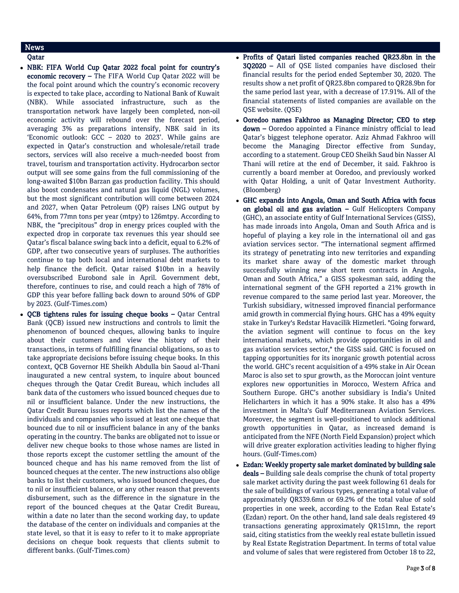# News

# Qatar

- NBK: FIFA World Cup Qatar 2022 focal point for country's economic recovery – The FIFA World Cup Qatar 2022 will be the focal point around which the country's economic recovery is expected to take place, according to National Bank of Kuwait (NBK). While associated infrastructure, such as the transportation network have largely been completed, non-oil economic activity will rebound over the forecast period, averaging 3% as preparations intensify, NBK said in its 'Economic outlook: GCC – 2020 to 2023'. While gains are expected in Qatar's construction and wholesale/retail trade sectors, services will also receive a much-needed boost from travel, tourism and transportation activity. Hydrocarbon sector output will see some gains from the full commissioning of the long-awaited \$10bn Barzan gas production facility. This should also boost condensates and natural gas liquid (NGL) volumes, but the most significant contribution will come between 2024 and 2027, when Qatar Petroleum (QP) raises LNG output by 64%, from 77mn tons per year (mtpy) to 126mtpy. According to NBK, the "precipitous" drop in energy prices coupled with the expected drop in corporate tax revenues this year should see Qatar's fiscal balance swing back into a deficit, equal to 6.2% of GDP, after two consecutive years of surpluses. The authorities continue to tap both local and international debt markets to help finance the deficit. Qatar raised \$10bn in a heavily oversubscribed Eurobond sale in April. Government debt, therefore, continues to rise, and could reach a high of 78% of GDP this year before falling back down to around 50% of GDP by 2023. (Gulf-Times.com)
- $\bullet$  OCB tightens rules for issuing cheque books Oatar Central Bank (QCB) issued new instructions and controls to limit the phenomenon of bounced cheques, allowing banks to inquire about their customers and view the history of their transactions, in terms of fulfilling financial obligations, so as to take appropriate decisions before issuing cheque books. In this context, QCB Governor HE Sheikh Abdulla bin Saoud al-Thani inaugurated a new central system, to inquire about bounced cheques through the Qatar Credit Bureau, which includes all bank data of the customers who issued bounced cheques due to nil or insufficient balance. Under the new instructions, the Qatar Credit Bureau issues reports which list the names of the individuals and companies who issued at least one cheque that bounced due to nil or insufficient balance in any of the banks operating in the country. The banks are obligated not to issue or deliver new cheque books to those whose names are listed in those reports except the customer settling the amount of the bounced cheque and has his name removed from the list of bounced cheques at the center. The new instructions also oblige banks to list their customers, who issued bounced cheques, due to nil or insufficient balance, or any other reason that prevents disbursement, such as the difference in the signature in the report of the bounced cheques at the Qatar Credit Bureau, within a date no later than the second working day, to update the database of the center on individuals and companies at the state level, so that it is easy to refer to it to make appropriate decisions on cheque book requests that clients submit to different banks. (Gulf-Times.com)
- Profits of Qatari listed companies reached QR23.8bn in the 3Q2020 – All of QSE listed companies have disclosed their financial results for the period ended September 30, 2020. The results show a net profit of QR23.8bn compared to QR28.9bn for the same period last year, with a decrease of 17.91%. All of the financial statements of listed companies are available on the QSE website. (QSE)
- Ooredoo names Fakhroo as Managing Director; CEO to step down – Ooredoo appointed a Finance ministry official to lead Qatar's biggest telephone operator. Aziz Ahmad Fakhroo will become the Managing Director effective from Sunday, according to a statement. Group CEO Sheikh Saud bin Nasser Al Thani will retire at the end of December, it said. Fakhroo is currently a board member at Ooredoo, and previously worked with Qatar Holding, a unit of Qatar Investment Authority. (Bloomberg)
- GHC expands into Angola, Oman and South Africa with focus on global oil and gas aviation  $-$  Gulf Helicopters Company (GHC), an associate entity of Gulf International Services (GISS), has made inroads into Angola, Oman and South Africa and is hopeful of playing a key role in the international oil and gas aviation services sector. "The international segment affirmed its strategy of penetrating into new territories and expanding its market share away of the domestic market through successfully winning new short term contracts in Angola, Oman and South Africa," a GISS spokesman said, adding the international segment of the GFH reported a 21% growth in revenue compared to the same period last year. Moreover, the Turkish subsidiary, witnessed improved financial performance amid growth in commercial flying hours. GHC has a 49% equity stake in Turkey's Redstar Havacilik Hizmetleri. "Going forward, the aviation segment will continue to focus on the key international markets, which provide opportunities in oil and gas aviation services sector," the GISS said. GHC is focused on tapping opportunities for its inorganic growth potential across the world. GHC's recent acquisition of a 49% stake in Air Ocean Maroc is also set to spur growth, as the Moroccan joint venture explores new opportunities in Morocco, Western Africa and Southern Europe. GHC's another subsidiary is India's United Helicharters in which it has a 90% stake. It also has a 49% investment in Malta's Gulf Mediterranean Aviation Services. Moreover, the segment is well-positioned to unlock additional growth opportunities in Qatar, as increased demand is anticipated from the NFE (North Field Expansion) project which will drive greater exploration activities leading to higher flying hours. (Gulf-Times.com)
- Ezdan: Weekly property sale market dominated by building sale deals - Building sale deals comprise the chunk of total property sale market activity during the past week following 61 deals for the sale of buildings of various types, generating a total value of approximately QR339.6mn or 69.2% of the total value of sold properties in one week, according to the Ezdan Real Estate's (Ezdan) report. On the other hand, land sale deals registered 49 transactions generating approximately QR151mn, the report said, citing statistics from the weekly real estate bulletin issued by Real Estate Registration Department. In terms of total value and volume of sales that were registered from October 18 to 22,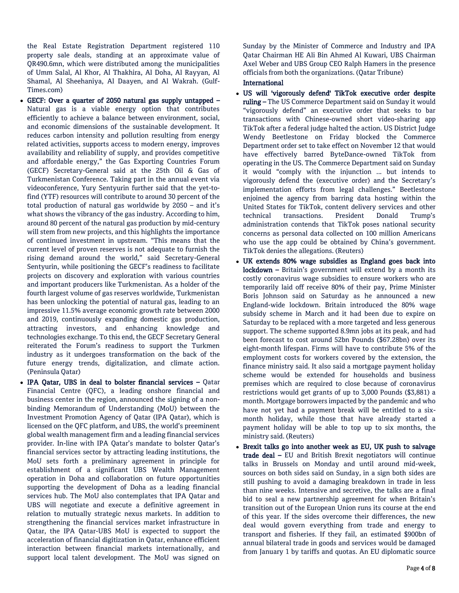the Real Estate Registration Department registered 110 property sale deals, standing at an approximate value of QR490.6mn, which were distributed among the municipalities of Umm Salal, Al Khor, Al Thakhira, Al Doha, Al Rayyan, Al Shamal, Al Sheehaniya, Al Daayen, and Al Wakrah. (Gulf-Times.com)

- GECF: Over a quarter of 2050 natural gas supply untapped Natural gas is a viable energy option that contributes efficiently to achieve a balance between environment, social, and economic dimensions of the sustainable development. It reduces carbon intensity and pollution resulting from energy related activities, supports access to modern energy, improves availability and reliability of supply, and provides competitive and affordable energy," the Gas Exporting Countries Forum (GECF) Secretary-General said at the 25th Oil & Gas of Turkmenistan Conference. Taking part in the annual event via videoconference, Yury Sentyurin further said that the yet-tofind (YTF) resources will contribute to around 30 percent of the total production of natural gas worldwide by 2050 – and it's what shows the vibrancy of the gas industry. According to him, around 80 percent of the natural gas production by mid-century will stem from new projects, and this highlights the importance of continued investment in upstream. "This means that the current level of proven reserves is not adequate to furnish the rising demand around the world," said Secretary-General Sentyurin, while positioning the GECF's readiness to facilitate projects on discovery and exploration with various countries and important producers like Turkmenistan. As a holder of the fourth largest volume of gas reserves worldwide, Turkmenistan has been unlocking the potential of natural gas, leading to an impressive 11.5% average economic growth rate between 2000 and 2019, continuously expanding domestic gas production, attracting investors, and enhancing knowledge and technologies exchange. To this end, the GECF Secretary General reiterated the Forum's readiness to support the Turkmen industry as it undergoes transformation on the back of the future energy trends, digitalization, and climate action. (Peninsula Qatar)
- IPA Qatar, UBS in deal to bolster financial services Qatar Financial Centre (QFC), a leading onshore financial and business center in the region, announced the signing of a nonbinding Memorandum of Understanding (MoU) between the Investment Promotion Agency of Qatar (IPA Qatar), which is licensed on the QFC platform, and UBS, the world's preeminent global wealth management firm and a leading financial services provider. In-line with IPA Qatar's mandate to bolster Qatar's financial services sector by attracting leading institutions, the MoU sets forth a preliminary agreement in principle for establishment of a significant UBS Wealth Management operation in Doha and collaboration on future opportunities supporting the development of Doha as a leading financial services hub. The MoU also contemplates that IPA Qatar and UBS will negotiate and execute a definitive agreement in relation to mutually strategic nexus markets. In addition to strengthening the financial services market infrastructure in Qatar, the IPA Qatar-UBS MoU is expected to support the acceleration of financial digitization in Qatar, enhance efficient interaction between financial markets internationally, and support local talent development. The MoU was signed on

Sunday by the Minister of Commerce and Industry and IPA Qatar Chairman HE Ali Bin Ahmed Al Kuwari, UBS Chairman Axel Weber and UBS Group CEO Ralph Hamers in the presence officials from both the organizations. (Qatar Tribune)

### International

- US will 'vigorously defend' TikTok executive order despite ruling - The US Commerce Department said on Sunday it would "vigorously defend" an executive order that seeks to bar transactions with Chinese-owned short video-sharing app TikTok after a federal judge halted the action. US District Judge Wendy Beetlestone on Friday blocked the Commerce Department order set to take effect on November 12 that would have effectively barred ByteDance-owned TikTok from operating in the US. The Commerce Department said on Sunday it would "comply with the injunction ... but intends to vigorously defend the (executive order) and the Secretary's implementation efforts from legal challenges." Beetlestone enjoined the agency from barring data hosting within the United States for TikTok, content delivery services and other technical transactions. President Donald Trump's administration contends that TikTok poses national security concerns as personal data collected on 100 million Americans who use the app could be obtained by China's government. TikTok denies the allegations. (Reuters)
- UK extends 80% wage subsidies as England goes back into lockdown – Britain's government will extend by a month its costly coronavirus wage subsidies to ensure workers who are temporarily laid off receive 80% of their pay, Prime Minister Boris Johnson said on Saturday as he announced a new England-wide lockdown. Britain introduced the 80% wage subsidy scheme in March and it had been due to expire on Saturday to be replaced with a more targeted and less generous support. The scheme supported 8.9mn jobs at its peak, and had been forecast to cost around 52bn Pounds (\$67.28bn) over its eight-month lifespan. Firms will have to contribute 5% of the employment costs for workers covered by the extension, the finance ministry said. It also said a mortgage payment holiday scheme would be extended for households and business premises which are required to close because of coronavirus restrictions would get grants of up to 3,000 Pounds (\$3,881) a month. Mortgage borrowers impacted by the pandemic and who have not yet had a payment break will be entitled to a sixmonth holiday, while those that have already started a payment holiday will be able to top up to six months, the ministry said. (Reuters)
- Brexit talks go into another week as EU, UK push to salvage trade deal – EU and British Brexit negotiators will continue talks in Brussels on Monday and until around mid-week, sources on both sides said on Sunday, in a sign both sides are still pushing to avoid a damaging breakdown in trade in less than nine weeks. Intensive and secretive, the talks are a final bid to seal a new partnership agreement for when Britain's transition out of the European Union runs its course at the end of this year. If the sides overcome their differences, the new deal would govern everything from trade and energy to transport and fisheries. If they fail, an estimated \$900bn of annual bilateral trade in goods and services would be damaged from January 1 by tariffs and quotas. An EU diplomatic source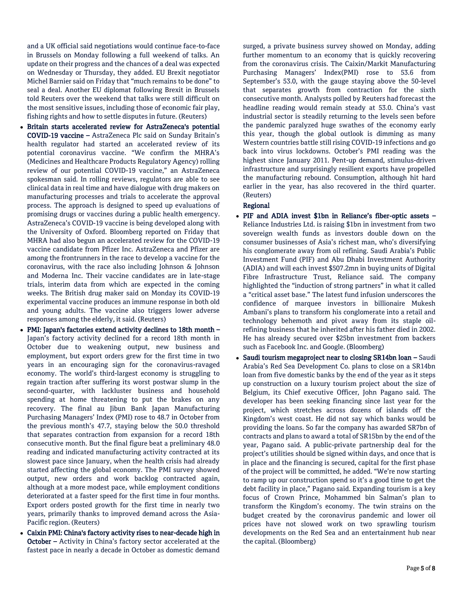and a UK official said negotiations would continue face-to-face in Brussels on Monday following a full weekend of talks. An update on their progress and the chances of a deal was expected on Wednesday or Thursday, they added. EU Brexit negotiator Michel Barnier said on Friday that "much remains to be done" to seal a deal. Another EU diplomat following Brexit in Brussels told Reuters over the weekend that talks were still difficult on the most sensitive issues, including those of economic fair play, fishing rights and how to settle disputes in future. (Reuters)

- Britain starts accelerated review for AstraZeneca's potential COVID-19 vaccine – AstraZeneca Plc said on Sunday Britain's health regulator had started an accelerated review of its potential coronavirus vaccine. "We confirm the MHRA's (Medicines and Healthcare Products Regulatory Agency) rolling review of our potential COVID-19 vaccine," an AstraZeneca spokesman said. In rolling reviews, regulators are able to see clinical data in real time and have dialogue with drug makers on manufacturing processes and trials to accelerate the approval process. The approach is designed to speed up evaluations of promising drugs or vaccines during a public health emergency. AstraZeneca's COVID-19 vaccine is being developed along with the University of Oxford. Bloomberg reported on Friday that MHRA had also begun an accelerated review for the COVID-19 vaccine candidate from Pfizer Inc. AstraZeneca and Pfizer are among the frontrunners in the race to develop a vaccine for the coronavirus, with the race also including Johnson & Johnson and Moderna Inc. Their vaccine candidates are in late-stage trials, interim data from which are expected in the coming weeks. The British drug maker said on Monday its COVID-19 experimental vaccine produces an immune response in both old and young adults. The vaccine also triggers lower adverse responses among the elderly, it said. (Reuters)
- PMI: Japan's factories extend activity declines to 18th month Japan's factory activity declined for a record 18th month in October due to weakening output, new business and employment, but export orders grew for the first time in two years in an encouraging sign for the coronavirus-ravaged economy. The world's third-largest economy is struggling to regain traction after suffering its worst postwar slump in the second-quarter, with lackluster business and household spending at home threatening to put the brakes on any recovery. The final au Jibun Bank Japan Manufacturing Purchasing Managers' Index (PMI) rose to 48.7 in October from the previous month's 47.7, staying below the 50.0 threshold that separates contraction from expansion for a record 18th consecutive month. But the final figure beat a preliminary 48.0 reading and indicated manufacturing activity contracted at its slowest pace since January, when the health crisis had already started affecting the global economy. The PMI survey showed output, new orders and work backlog contracted again, although at a more modest pace, while employment conditions deteriorated at a faster speed for the first time in four months. Export orders posted growth for the first time in nearly two years, primarily thanks to improved demand across the Asia-Pacific region. (Reuters)
- Caixin PMI: China's factory activity rises to near-decade high in October – Activity in China's factory sector accelerated at the fastest pace in nearly a decade in October as domestic demand

surged, a private business survey showed on Monday, adding further momentum to an economy that is quickly recovering from the coronavirus crisis. The Caixin/Markit Manufacturing Purchasing Managers' Index(PMI) rose to 53.6 from September's 53.0, with the gauge staying above the 50-level that separates growth from contraction for the sixth consecutive month. Analysts polled by Reuters had forecast the headline reading would remain steady at 53.0. China's vast industrial sector is steadily returning to the levels seen before the pandemic paralyzed huge swathes of the economy early this year, though the global outlook is dimming as many Western countries battle still rising COVID-19 infections and go back into virus lockdowns. October's PMI reading was the highest since January 2011. Pent-up demand, stimulus-driven infrastructure and surprisingly resilient exports have propelled the manufacturing rebound. Consumption, although hit hard earlier in the year, has also recovered in the third quarter. (Reuters)

### Regional

- PIF and ADIA invest \$1bn in Reliance's fiber-optic assets Reliance Industries Ltd. is raising \$1bn in investment from two sovereign wealth funds as investors double down on the consumer businesses of Asia's richest man, who's diversifying his conglomerate away from oil refining. Saudi Arabia's Public Investment Fund (PIF) and Abu Dhabi Investment Authority (ADIA) and will each invest \$507.2mn in buying units of Digital Fibre Infrastructure Trust, Reliance said. The company highlighted the "induction of strong partners" in what it called a "critical asset base." The latest fund infusion underscores the confidence of marquee investors in billionaire Mukesh Ambani's plans to transform his conglomerate into a retail and technology behemoth and pivot away from its staple oilrefining business that he inherited after his father died in 2002. He has already secured over \$25bn investment from backers such as Facebook Inc. and Google. (Bloomberg)
- Saudi tourism megaproject near to closing SR14bn loan Saudi Arabia's Red Sea Development Co. plans to close on a SR14bn loan from five domestic banks by the end of the year as it steps up construction on a luxury tourism project about the size of Belgium, its Chief executive Officer, John Pagano said. The developer has been seeking financing since last year for the project, which stretches across dozens of islands off the Kingdom's west coast. He did not say which banks would be providing the loans. So far the company has awarded SR7bn of contracts and plans to award a total of SR15bn by the end of the year, Pagano said. A public-private partnership deal for the project's utilities should be signed within days, and once that is in place and the financing is secured, capital for the first phase of the project will be committed, he added. "We're now starting to ramp up our construction spend so it's a good time to get the debt facility in place," Pagano said. Expanding tourism is a key focus of Crown Prince, Mohammed bin Salman's plan to transform the Kingdom's economy. The twin strains on the budget created by the coronavirus pandemic and lower oil prices have not slowed work on two sprawling tourism developments on the Red Sea and an entertainment hub near the capital. (Bloomberg)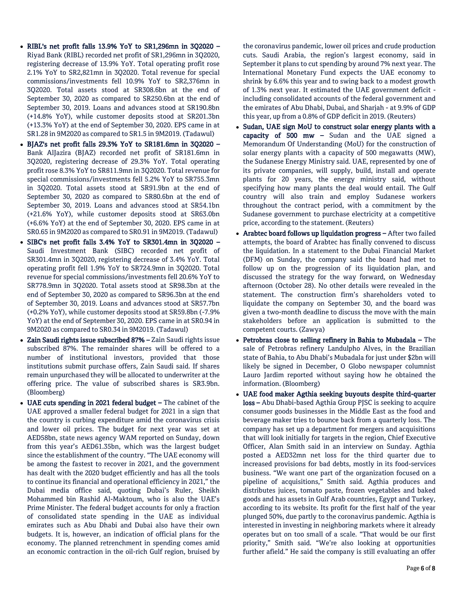- RIBL's net profit falls 13.9% YoY to SR1,296mn in 3Q2020 Riyad Bank (RIBL) recorded net profit of SR1,296mn in 3Q2020, registering decrease of 13.9% YoY. Total operating profit rose 2.1% YoY to SR2,821mn in 3Q2020. Total revenue for special commissions/investments fell 10.9% YoY to SR2,376mn in 3Q2020. Total assets stood at SR308.6bn at the end of September 30, 2020 as compared to SR250.6bn at the end of September 30, 2019. Loans and advances stood at SR190.8bn (+14.8% YoY), while customer deposits stood at SR201.3bn (+13.3% YoY) at the end of September 30, 2020. EPS came in at SR1.28 in 9M2020 as compared to SR1.5 in 9M2019. (Tadawul)
- BJAZ's net profit falls 29.3% YoY to SR181.6mn in 3Q2020 Bank AlJazira (BJAZ) recorded net profit of SR181.6mn in 3Q2020, registering decrease of 29.3% YoY. Total operating profit rose 8.3% YoY to SR811.9mn in 3Q2020. Total revenue for special commissions/investments fell 5.2% YoY to SR755.3mn in 3Q2020. Total assets stood at SR91.9bn at the end of September 30, 2020 as compared to SR80.6bn at the end of September 30, 2019. Loans and advances stood at SR54.1bn (+21.6% YoY), while customer deposits stood at SR63.0bn (+6.6% YoY) at the end of September 30, 2020. EPS came in at SR0.65 in 9M2020 as compared to SR0.91 in 9M2019. (Tadawul)
- SIBC's net profit falls 3.4% YoY to SR301.4mn in 3Q2020 Saudi Investment Bank (SIBC) recorded net profit of SR301.4mn in 3Q2020, registering decrease of 3.4% YoY. Total operating profit fell 1.9% YoY to SR724.9mn in 3Q2020. Total revenue for special commissions/investments fell 20.6% YoY to SR778.9mn in 3Q2020. Total assets stood at SR98.3bn at the end of September 30, 2020 as compared to SR96.3bn at the end of September 30, 2019. Loans and advances stood at SR57.7bn (+0.2% YoY), while customer deposits stood at SR59.8bn (-7.9% YoY) at the end of September 30, 2020. EPS came in at SR0.94 in 9M2020 as compared to SR0.34 in 9M2019. (Tadawul)
- Zain Saudi rights issue subscribed 87% Zain Saudi rights issue subscribed 87%. The remainder shares will be offered to a number of institutional investors, provided that those institutions submit purchase offers, Zain Saudi said. If shares remain unpurchased they will be allocated to underwriter at the offering price. The value of subscribed shares is SR3.9bn. (Bloomberg)
- UAE cuts spending in 2021 federal budget The cabinet of the UAE approved a smaller federal budget for 2021 in a sign that the country is curbing expenditure amid the coronavirus crisis and lower oil prices. The budget for next year was set at AED58bn, state news agency WAM reported on Sunday, down from this year's AED61.35bn, which was the largest budget since the establishment of the country. "The UAE economy will be among the fastest to recover in 2021, and the government has dealt with the 2020 budget efficiently and has all the tools to continue its financial and operational efficiency in 2021," the Dubai media office said, quoting Dubai's Ruler, Sheikh Mohammed bin Rashid Al-Maktoum, who is also the UAE's Prime Minister. The federal budget accounts for only a fraction of consolidated state spending in the UAE as individual emirates such as Abu Dhabi and Dubai also have their own budgets. It is, however, an indication of official plans for the economy. The planned retrenchment in spending comes amid an economic contraction in the oil-rich Gulf region, bruised by

the coronavirus pandemic, lower oil prices and crude production cuts. Saudi Arabia, the region's largest economy, said in September it plans to cut spending by around 7% next year. The International Monetary Fund expects the UAE economy to shrink by 6.6% this year and to swing back to a modest growth of 1.3% next year. It estimated the UAE government deficit including consolidated accounts of the federal government and the emirates of Abu Dhabi, Dubai, and Sharjah - at 9.9% of GDP this year, up from a 0.8% of GDP deficit in 2019. (Reuters)

- Sudan, UAE sign MoU to construct solar energy plants with a capacity of 500  $mw -$  Sudan and the UAE signed a Memorandum Of Understanding (MoU) for the construction of solar energy plants with a capacity of 500 megawatts (MW), the Sudanese Energy Ministry said. UAE, represented by one of its private companies, will supply, build, install and operate plants for 20 years, the energy ministry said, without specifying how many plants the deal would entail. The Gulf country will also train and employ Sudanese workers throughout the contract period, with a commitment by the Sudanese government to purchase electricity at a competitive price, according to the statement. (Reuters)
- Arabtec board follows up liquidation progress After two failed attempts, the board of Arabtec has finally convened to discuss the liquidation. In a statement to the Dubai Financial Market (DFM) on Sunday, the company said the board had met to follow up on the progression of its liquidation plan, and discussed the strategy for the way forward, on Wednesday afternoon (October 28). No other details were revealed in the statement. The construction firm's shareholders voted to liquidate the company on September 30, and the board was given a two-month deadline to discuss the move with the main stakeholders before an application is submitted to the competent courts. (Zawya)
- Petrobras close to selling refinery in Bahia to Mubadala The sale of Petrobras refinery Landulpho Alves, in the Brazilian state of Bahia, to Abu Dhabi's Mubadala for just under \$2bn will likely be signed in December, O Globo newspaper columnist Lauro Jardim reported without saying how he obtained the information. (Bloomberg)
- UAE food maker Agthia seeking buyouts despite third-quarter loss – Abu Dhabi-based Agthia Group PJSC is seeking to acquire consumer goods businesses in the Middle East as the food and beverage maker tries to bounce back from a quarterly loss. The company has set up a department for mergers and acquisitions that will look initially for targets in the region, Chief Executive Officer, Alan Smith said in an interview on Sunday. Agthia posted a AED32mn net loss for the third quarter due to increased provisions for bad debts, mostly in its food-services business. "We want one part of the organization focused on a pipeline of acquisitions," Smith said. Agthia produces and distributes juices, tomato paste, frozen vegetables and baked goods and has assets in Gulf Arab countries, Egypt and Turkey, according to its website. Its profit for the first half of the year plunged 50%, due partly to the coronavirus pandemic. Agthia is interested in investing in neighboring markets where it already operates but on too small of a scale. "That would be our first priority," Smith said. "We're also looking at opportunities further afield." He said the company is still evaluating an offer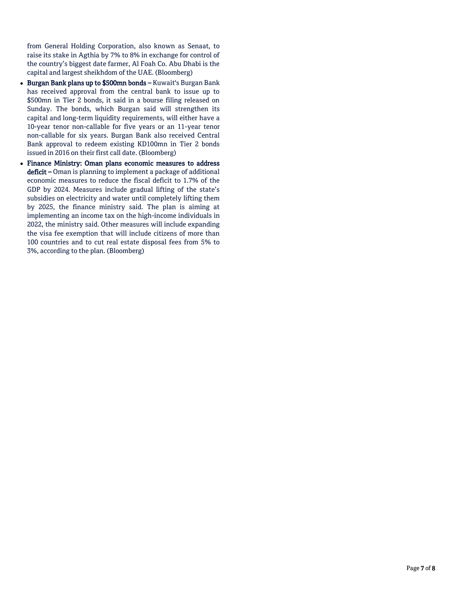from General Holding Corporation, also known as Senaat, to raise its stake in Agthia by 7% to 8% in exchange for control of the country's biggest date farmer, Al Foah Co. Abu Dhabi is the capital and largest sheikhdom of the UAE. (Bloomberg)

- Burgan Bank plans up to \$500mn bonds Kuwait's Burgan Bank has received approval from the central bank to issue up to \$500mn in Tier 2 bonds, it said in a bourse filing released on Sunday. The bonds, which Burgan said will strengthen its capital and long-term liquidity requirements, will either have a 10-year tenor non-callable for five years or an 11-year tenor non-callable for six years. Burgan Bank also received Central Bank approval to redeem existing KD100mn in Tier 2 bonds issued in 2016 on their first call date. (Bloomberg)
- Finance Ministry: Oman plans economic measures to address deficit – Oman is planning to implement a package of additional economic measures to reduce the fiscal deficit to 1.7% of the GDP by 2024. Measures include gradual lifting of the state's subsidies on electricity and water until completely lifting them by 2025, the finance ministry said. The plan is aiming at implementing an income tax on the high-income individuals in 2022, the ministry said. Other measures will include expanding the visa fee exemption that will include citizens of more than 100 countries and to cut real estate disposal fees from 5% to 3%, according to the plan. (Bloomberg)